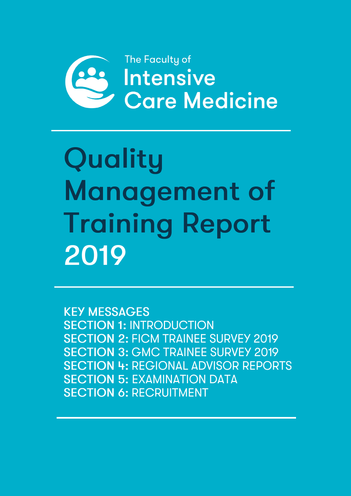

Quality Management of **Training Report** 2019

**KEY MESSAGES SECTION 1: INTRODUCTION SECTION 2: FICM TRAINEE SURVEY 2019 SECTION 3: GMC TRAINEE SURVEY 2019 SECTION 4: REGIONAL ADVISOR REPORTS SECTION 5: EXAMINATION DATA SECTION 6: RECRUITMENT**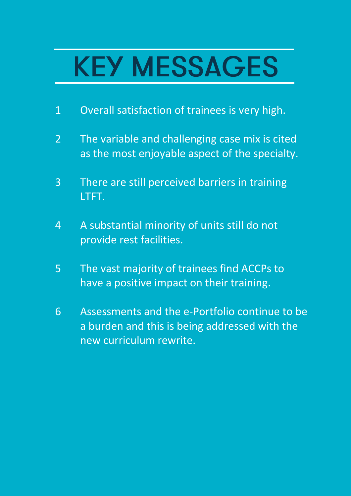# **KEY MESSAGES**

- 1 Overall satisfaction of trainees is very high.
- 2 The variable and challenging case mix is cited as the most enjoyable aspect of the specialty.
- 3 There are still perceived barriers in training LTFT.
- 4 A substantial minority of units still do not provide rest facilities.
- 5 The vast majority of trainees find ACCPs to have a positive impact on their training.
- 6 Assessments and the e-Portfolio continue to be a burden and this is being addressed with the new curriculum rewrite.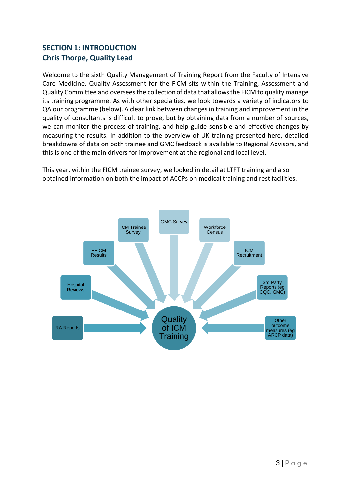# **SECTION 1: INTRODUCTION Chris Thorpe, Quality Lead**

Welcome to the sixth Quality Management of Training Report from the Faculty of Intensive Care Medicine. Quality Assessment for the FICM sits within the Training, Assessment and Quality Committee and oversees the collection of data that allows the FICM to quality manage its training programme. As with other specialties, we look towards a variety of indicators to QA our programme (below). A clear link between changes in training and improvement in the quality of consultants is difficult to prove, but by obtaining data from a number of sources, we can monitor the process of training, and help guide sensible and effective changes by measuring the results. In addition to the overview of UK training presented here, detailed breakdowns of data on both trainee and GMC feedback is available to Regional Advisors, and this is one of the main drivers for improvement at the regional and local level.

This year, within the FICM trainee survey, we looked in detail at LTFT training and also obtained information on both the impact of ACCPs on medical training and rest facilities.

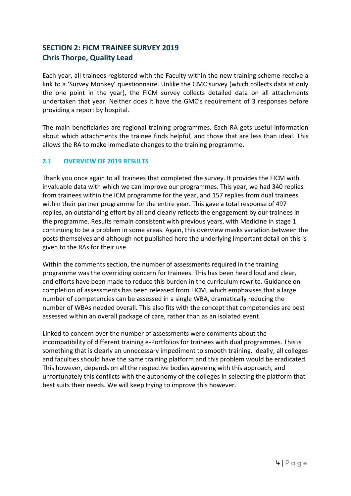## **SECTION 2: FICM TRAINEE SURVEY 2019 Chris Thorpe, Quality Lead**

Each year, all trainees registered with the Faculty within the new training scheme receive a link to a 'Survey Monkey' questionnaire. Unlike the GMC survey (which collects data at only the one point in the year), the FICM survey collects detailed data on all attachments undertaken that year. Neither does it have the GMC's requirement of 3 responses before providing a report by hospital.

The main beneficiaries are regional training programmes. Each RA gets useful information about which attachments the trainee finds helpful, and those that are less than ideal. This allows the RA to make immediate changes to the training programme.

## **2.1 OVERVIEW OF 2019 RESULTS**

Thank you once again to all trainees that completed the survey. It provides the FICM with invaluable data with which we can improve our programmes. This year, we had 340 replies from trainees within the ICM programme for the year, and 157 replies from dual trainees within their partner programme for the entire year. This gave a total response of 497 replies, an outstanding effort by all and clearly reflects the engagement by our trainees in the programme. Results remain consistent with previous years, with Medicine in stage 1 continuing to be a problem in some areas. Again, this overview masks variation between the posts themselves and although not published here the underlying important detail on this is given to the RAs for their use.

Within the comments section, the number of assessments required in the training programme was the overriding concern for trainees. This has been heard loud and clear, and efforts have been made to reduce this burden in the curriculum rewrite. Guidance on completion of assessments has been released from FICM, which emphasises that a large number of competencies can be assessed in a single WBA, dramatically reducing the number of WBAs needed overall. This also fits with the concept that competencies are best assessed within an overall package of care, rather than as an isolated event.

Linked to concern over the number of assessments were comments about the incompatibility of different training e-Portfolios for trainees with dual programmes. This is something that is clearly an unnecessary impediment to smooth training. Ideally, all colleges and faculties should have the same training platform and this problem would be eradicated. This however, depends on all the respective bodies agreeing with this approach, and unfortunately this conflicts with the autonomy of the colleges in selecting the platform that best suits their needs. We will keep trying to improve this however.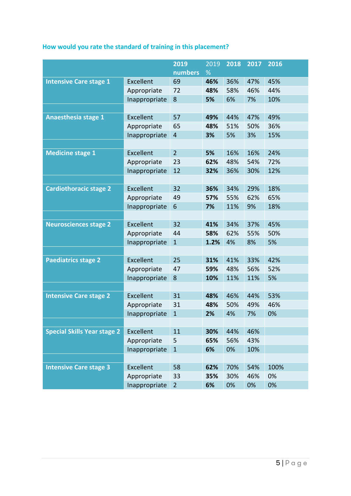|  | How would you rate the standard of training in this placement? |  |  |  |  |
|--|----------------------------------------------------------------|--|--|--|--|
|--|----------------------------------------------------------------|--|--|--|--|

|                                    |               | 2019           | 2019 | 2018 | 2017 | 2016 |
|------------------------------------|---------------|----------------|------|------|------|------|
|                                    |               | numbers        | %    |      |      |      |
| <b>Intensive Care stage 1</b>      | Excellent     | 69             | 46%  | 36%  | 47%  | 45%  |
|                                    | Appropriate   | 72             | 48%  | 58%  | 46%  | 44%  |
|                                    | Inappropriate | 8              | 5%   | 6%   | 7%   | 10%  |
|                                    |               |                |      |      |      |      |
| <b>Anaesthesia stage 1</b>         | Excellent     | 57             | 49%  | 44%  | 47%  | 49%  |
|                                    | Appropriate   | 65             | 48%  | 51%  | 50%  | 36%  |
|                                    | Inappropriate | $\overline{4}$ | 3%   | 5%   | 3%   | 15%  |
|                                    |               |                |      |      |      |      |
| <b>Medicine stage 1</b>            | Excellent     | $\overline{2}$ | 5%   | 16%  | 16%  | 24%  |
|                                    | Appropriate   | 23             | 62%  | 48%  | 54%  | 72%  |
|                                    | Inappropriate | 12             | 32%  | 36%  | 30%  | 12%  |
|                                    |               |                |      |      |      |      |
| <b>Cardiothoracic stage 2</b>      | Excellent     | 32             | 36%  | 34%  | 29%  | 18%  |
|                                    | Appropriate   | 49             | 57%  | 55%  | 62%  | 65%  |
|                                    | Inappropriate | 6              | 7%   | 11%  | 9%   | 18%  |
|                                    |               |                |      |      |      |      |
| <b>Neurosciences stage 2</b>       | Excellent     | 32             | 41%  | 34%  | 37%  | 45%  |
|                                    | Appropriate   | 44             | 58%  | 62%  | 55%  | 50%  |
|                                    | Inappropriate | $\mathbf{1}$   | 1.2% | 4%   | 8%   | 5%   |
|                                    |               |                |      |      |      |      |
| <b>Paediatrics stage 2</b>         | Excellent     | 25             | 31%  | 41%  | 33%  | 42%  |
|                                    | Appropriate   | 47             | 59%  | 48%  | 56%  | 52%  |
|                                    | Inappropriate | 8              | 10%  | 11%  | 11%  | 5%   |
|                                    |               |                |      |      |      |      |
| <b>Intensive Care stage 2</b>      | Excellent     | 31             | 48%  | 46%  | 44%  | 53%  |
|                                    | Appropriate   | 31             | 48%  | 50%  | 49%  | 46%  |
|                                    | Inappropriate | $\mathbf{1}$   | 2%   | 4%   | 7%   | 0%   |
|                                    |               |                |      |      |      |      |
| <b>Special Skills Year stage 2</b> | Excellent     | 11             | 30%  | 44%  | 46%  |      |
|                                    | Appropriate   | 5              | 65%  | 56%  | 43%  |      |
|                                    | Inappropriate | $\mathbf{1}$   | 6%   | 0%   | 10%  |      |
|                                    |               |                |      |      |      |      |
| <b>Intensive Care stage 3</b>      | Excellent     | 58             | 62%  | 70%  | 54%  | 100% |
|                                    | Appropriate   | 33             | 35%  | 30%  | 46%  | 0%   |
|                                    | Inappropriate | $\overline{2}$ | 6%   | 0%   | 0%   | 0%   |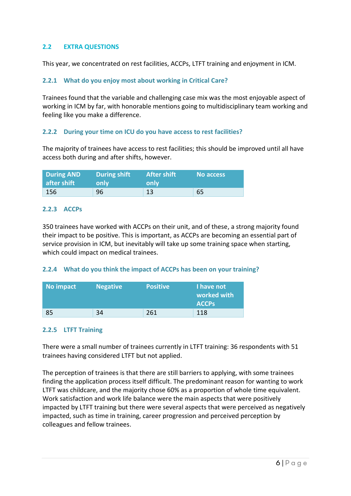## **2.2 EXTRA QUESTIONS**

This year, we concentrated on rest facilities, ACCPs, LTFT training and enjoyment in ICM.

#### **2.2.1 What do you enjoy most about working in Critical Care?**

Trainees found that the variable and challenging case mix was the most enjoyable aspect of working in ICM by far, with honorable mentions going to multidisciplinary team working and feeling like you make a difference.

#### **2.2.2 During your time on ICU do you have access to rest facilities?**

The majority of trainees have access to rest facilities; this should be improved until all have access both during and after shifts, however.

| <b>During AND</b> | <b>During shift</b> | <b>After shift</b> | No access |
|-------------------|---------------------|--------------------|-----------|
| after shift       | only                | only               |           |
| 156               | 96                  | 13                 | 65        |

#### **2.2.3 ACCPs**

350 trainees have worked with ACCPs on their unit, and of these, a strong majority found their impact to be positive. This is important, as ACCPs are becoming an essential part of service provision in ICM, but inevitably will take up some training space when starting, which could impact on medical trainees.

#### **2.2.4 What do you think the impact of ACCPs has been on your training?**

| No impact | <b>Negative</b> | <b>Positive</b> | I have not<br>worked with<br><b>ACCPS</b> |
|-----------|-----------------|-----------------|-------------------------------------------|
| 85        | 34              | 261             | 118                                       |

#### **2.2.5 LTFT Training**

There were a small number of trainees currently in LTFT training: 36 respondents with 51 trainees having considered LTFT but not applied.

The perception of trainees is that there are still barriers to applying, with some trainees finding the application process itself difficult. The predominant reason for wanting to work LTFT was childcare, and the majority chose 60% as a proportion of whole time equivalent. Work satisfaction and work life balance were the main aspects that were positively impacted by LTFT training but there were several aspects that were perceived as negatively impacted, such as time in training, career progression and perceived perception by colleagues and fellow trainees.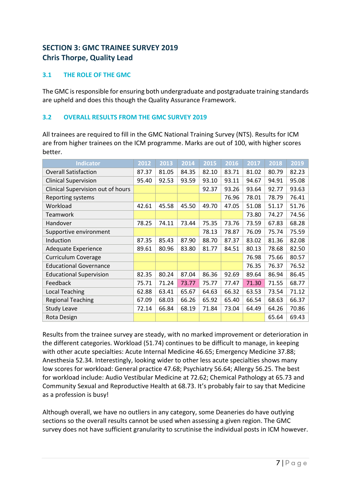# **SECTION 3: GMC TRAINEE SURVEY 2019 Chris Thorpe, Quality Lead**

## **3.1 THE ROLE OF THE GMC**

The GMC is responsible for ensuring both undergraduate and postgraduate training standards are upheld and does this though the Quality Assurance Framework.

## **3.2 OVERALL RESULTS FROM THE GMC SURVEY 2019**

All trainees are required to fill in the GMC National Training Survey (NTS). Results for ICM are from higher trainees on the ICM programme. Marks are out of 100, with higher scores better.

| <b>Indicator</b>                  | 2012  | 2013  | 2014  | 2015  | 2016  | 2017  | 2018  | 2019  |
|-----------------------------------|-------|-------|-------|-------|-------|-------|-------|-------|
| <b>Overall Satisfaction</b>       | 87.37 | 81.05 | 84.35 | 82.10 | 83.71 | 81.02 | 80.79 | 82.23 |
| <b>Clinical Supervision</b>       | 95.40 | 92.53 | 93.59 | 93.10 | 93.11 | 94.67 | 94.91 | 95.08 |
| Clinical Supervision out of hours |       |       |       | 92.37 | 93.26 | 93.64 | 92.77 | 93.63 |
| Reporting systems                 |       |       |       |       | 76.96 | 78.01 | 78.79 | 76.41 |
| Workload                          | 42.61 | 45.58 | 45.50 | 49.70 | 47.05 | 51.08 | 51.17 | 51.76 |
| Teamwork                          |       |       |       |       |       | 73.80 | 74.27 | 74.56 |
| Handover                          | 78.25 | 74.11 | 73.44 | 75.35 | 73.76 | 73.59 | 67.83 | 68.28 |
| Supportive environment            |       |       |       | 78.13 | 78.87 | 76.09 | 75.74 | 75.59 |
| Induction                         | 87.35 | 85.43 | 87.90 | 88.70 | 87.37 | 83.02 | 81.36 | 82.08 |
| Adequate Experience               | 89.61 | 80.96 | 83.80 | 81.77 | 84.51 | 80.13 | 78.68 | 82.50 |
| <b>Curriculum Coverage</b>        |       |       |       |       |       | 76.98 | 75.66 | 80.57 |
| <b>Educational Governance</b>     |       |       |       |       |       | 76.35 | 76.37 | 76.52 |
| <b>Educational Supervision</b>    | 82.35 | 80.24 | 87.04 | 86.36 | 92.69 | 89.64 | 86.94 | 86.45 |
| Feedback                          | 75.71 | 71.24 | 73.77 | 75.77 | 77.47 | 71.30 | 71.55 | 68.77 |
| <b>Local Teaching</b>             | 62.88 | 63.41 | 65.67 | 64.63 | 66.32 | 63.53 | 73.54 | 71.12 |
| <b>Regional Teaching</b>          | 67.09 | 68.03 | 66.26 | 65.92 | 65.40 | 66.54 | 68.63 | 66.37 |
| <b>Study Leave</b>                | 72.14 | 66.84 | 68.19 | 71.84 | 73.04 | 64.49 | 64.26 | 70.86 |
| Rota Design                       |       |       |       |       |       |       | 65.64 | 69.43 |

Results from the trainee survey are steady, with no marked improvement or deterioration in the different categories. Workload (51.74) continues to be difficult to manage, in keeping with other acute specialties: Acute Internal Medicine 46.65; Emergency Medicine 37.88; Anesthesia 52.34. Interestingly, looking wider to other less acute specialties shows many low scores for workload: General practice 47.68; Psychiatry 56.64; Allergy 56.25. The best for workload include: Audio Vestibular Medicine at 72.62; Chemical Pathology at 65.73 and Community Sexual and Reproductive Health at 68.73. It's probably fair to say that Medicine as a profession is busy!

Although overall, we have no outliers in any category, some Deaneries do have outlying sections so the overall results cannot be used when assessing a given region. The GMC survey does not have sufficient granularity to scrutinise the individual posts in ICM however.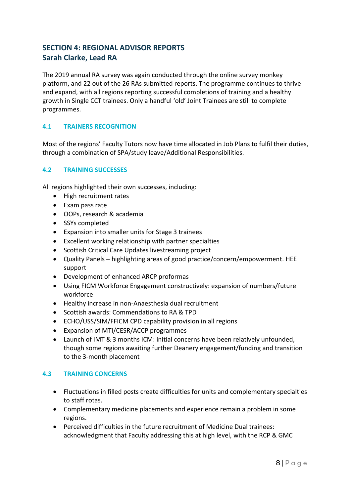# **SECTION 4: REGIONAL ADVISOR REPORTS Sarah Clarke, Lead RA**

The 2019 annual RA survey was again conducted through the online survey monkey platform, and 22 out of the 26 RAs submitted reports. The programme continues to thrive and expand, with all regions reporting successful completions of training and a healthy growth in Single CCT trainees. Only a handful 'old' Joint Trainees are still to complete programmes.

#### **4.1 TRAINERS RECOGNITION**

Most of the regions' Faculty Tutors now have time allocated in Job Plans to fulfil their duties, through a combination of SPA/study leave/Additional Responsibilities.

#### **4.2 TRAINING SUCCESSES**

All regions highlighted their own successes, including:

- High recruitment rates
- Exam pass rate
- OOPs, research & academia
- SSYs completed
- Expansion into smaller units for Stage 3 trainees
- Excellent working relationship with partner specialties
- Scottish Critical Care Updates livestreaming project
- Quality Panels highlighting areas of good practice/concern/empowerment. HEE support
- Development of enhanced ARCP proformas
- Using FICM Workforce Engagement constructively: expansion of numbers/future workforce
- Healthy increase in non-Anaesthesia dual recruitment
- Scottish awards: Commendations to RA & TPD
- ECHO/USS/SIM/FFICM CPD capability provision in all regions
- Expansion of MTI/CESR/ACCP programmes
- Launch of IMT & 3 months ICM: initial concerns have been relatively unfounded, though some regions awaiting further Deanery engagement/funding and transition to the 3-month placement

#### **4.3 TRAINING CONCERNS**

- Fluctuations in filled posts create difficulties for units and complementary specialties to staff rotas.
- Complementary medicine placements and experience remain a problem in some regions.
- Perceived difficulties in the future recruitment of Medicine Dual trainees: acknowledgment that Faculty addressing this at high level, with the RCP & GMC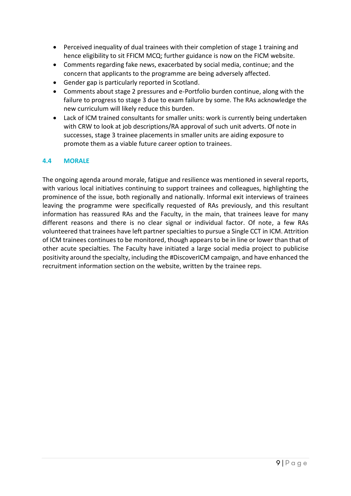- Perceived inequality of dual trainees with their completion of stage 1 training and hence eligibility to sit FFICM MCQ; further guidance is now on the FICM website.
- Comments regarding fake news, exacerbated by social media, continue; and the concern that applicants to the programme are being adversely affected.
- Gender gap is particularly reported in Scotland.
- Comments about stage 2 pressures and e-Portfolio burden continue, along with the failure to progress to stage 3 due to exam failure by some. The RAs acknowledge the new curriculum will likely reduce this burden.
- Lack of ICM trained consultants for smaller units: work is currently being undertaken with CRW to look at job descriptions/RA approval of such unit adverts. Of note in successes, stage 3 trainee placements in smaller units are aiding exposure to promote them as a viable future career option to trainees.

#### **4.4 MORALE**

The ongoing agenda around morale, fatigue and resilience was mentioned in several reports, with various local initiatives continuing to support trainees and colleagues, highlighting the prominence of the issue, both regionally and nationally. Informal exit interviews of trainees leaving the programme were specifically requested of RAs previously, and this resultant information has reassured RAs and the Faculty, in the main, that trainees leave for many different reasons and there is no clear signal or individual factor. Of note, a few RAs volunteered that trainees have left partner specialties to pursue a Single CCT in ICM. Attrition of ICM trainees continues to be monitored, though appears to be in line or lower than that of other acute specialties. The Faculty have initiated a large social media project to publicise positivity around the specialty, including the #DiscoverICM campaign, and have enhanced the recruitment information section on the website, written by the trainee reps.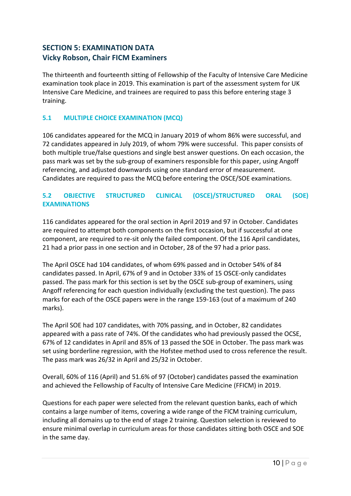## **SECTION 5: EXAMINATION DATA Vicky Robson, Chair FICM Examiners**

The thirteenth and fourteenth sitting of Fellowship of the Faculty of Intensive Care Medicine examination took place in 2019. This examination is part of the assessment system for UK Intensive Care Medicine, and trainees are required to pass this before entering stage 3 training.

## **5.1 MULTIPLE CHOICE EXAMINATION (MCQ)**

106 candidates appeared for the MCQ in January 2019 of whom 86% were successful, and 72 candidates appeared in July 2019, of whom 79% were successful. This paper consists of both multiple true/false questions and single best answer questions. On each occasion, the pass mark was set by the sub-group of examiners responsible for this paper, using Angoff referencing, and adjusted downwards using one standard error of measurement. Candidates are required to pass the MCQ before entering the OSCE/SOE examinations.

## **5.2 OBJECTIVE STRUCTURED CLINICAL (OSCE)/STRUCTURED ORAL (SOE) EXAMINATIONS**

116 candidates appeared for the oral section in April 2019 and 97 in October. Candidates are required to attempt both components on the first occasion, but if successful at one component, are required to re-sit only the failed component. Of the 116 April candidates, 21 had a prior pass in one section and in October, 28 of the 97 had a prior pass.

The April OSCE had 104 candidates, of whom 69% passed and in October 54% of 84 candidates passed. In April, 67% of 9 and in October 33% of 15 OSCE-only candidates passed. The pass mark for this section is set by the OSCE sub-group of examiners, using Angoff referencing for each question individually (excluding the test question). The pass marks for each of the OSCE papers were in the range 159-163 (out of a maximum of 240 marks).

The April SOE had 107 candidates, with 70% passing, and in October, 82 candidates appeared with a pass rate of 74%. Of the candidates who had previously passed the OCSE, 67% of 12 candidates in April and 85% of 13 passed the SOE in October. The pass mark was set using borderline regression, with the Hofstee method used to cross reference the result. The pass mark was 26/32 in April and 25/32 in October.

Overall, 60% of 116 (April) and 51.6% of 97 (October) candidates passed the examination and achieved the Fellowship of Faculty of Intensive Care Medicine (FFICM) in 2019.

Questions for each paper were selected from the relevant question banks, each of which contains a large number of items, covering a wide range of the FICM training curriculum, including all domains up to the end of stage 2 training. Question selection is reviewed to ensure minimal overlap in curriculum areas for those candidates sitting both OSCE and SOE in the same day.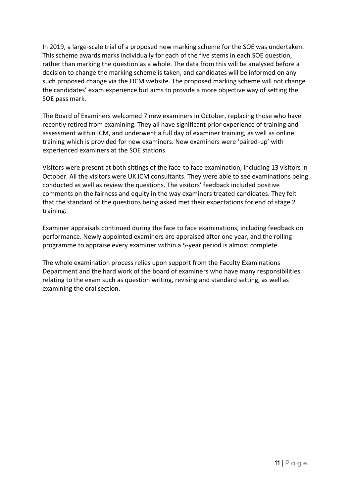In 2019, a large-scale trial of a proposed new marking scheme for the SOE was undertaken. This scheme awards marks individually for each of the five stems in each SOE question, rather than marking the question as a whole. The data from this will be analysed before a decision to change the marking scheme is taken, and candidates will be informed on any such proposed change via the FICM website. The proposed marking scheme will not change the candidates' exam experience but aims to provide a more objective way of setting the SOE pass mark.

The Board of Examiners welcomed 7 new examiners in October, replacing those who have recently retired from examining. They all have significant prior experience of training and assessment within ICM, and underwent a full day of examiner training, as well as online training which is provided for new examiners. New examiners were 'paired-up' with experienced examiners at the SOE stations.

Visitors were present at both sittings of the face-to face examination, including 13 visitors in October. All the visitors were UK ICM consultants. They were able to see examinations being conducted as well as review the questions. The visitors' feedback included positive comments on the fairness and equity in the way examiners treated candidates. They felt that the standard of the questions being asked met their expectations for end of stage 2 training.

Examiner appraisals continued during the face to face examinations, including feedback on performance. Newly appointed examiners are appraised after one year, and the rolling programme to appraise every examiner within a 5-year period is almost complete.

The whole examination process relies upon support from the Faculty Examinations Department and the hard work of the board of examiners who have many responsibilities relating to the exam such as question writing, revising and standard setting, as well as examining the oral section.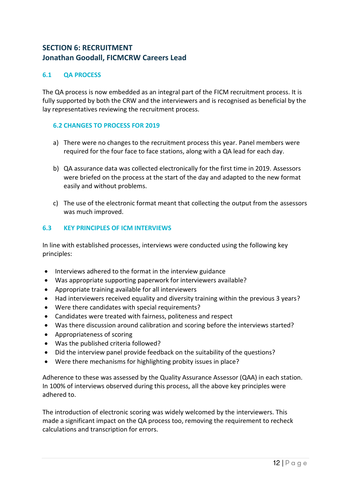## **SECTION 6: RECRUITMENT Jonathan Goodall, FICMCRW Careers Lead**

#### **6.1 QA PROCESS**

The QA process is now embedded as an integral part of the FICM recruitment process. It is fully supported by both the CRW and the interviewers and is recognised as beneficial by the lay representatives reviewing the recruitment process.

#### **6.2 CHANGES TO PROCESS FOR 2019**

- a) There were no changes to the recruitment process this year. Panel members were required for the four face to face stations, along with a QA lead for each day.
- b) QA assurance data was collected electronically for the first time in 2019. Assessors were briefed on the process at the start of the day and adapted to the new format easily and without problems.
- c) The use of the electronic format meant that collecting the output from the assessors was much improved.

#### **6.3 KEY PRINCIPLES OF ICM INTERVIEWS**

In line with established processes, interviews were conducted using the following key principles:

- Interviews adhered to the format in the interview guidance
- Was appropriate supporting paperwork for interviewers available?
- Appropriate training available for all interviewers
- Had interviewers received equality and diversity training within the previous 3 years?
- Were there candidates with special requirements?
- Candidates were treated with fairness, politeness and respect
- Was there discussion around calibration and scoring before the interviews started?
- Appropriateness of scoring
- Was the published criteria followed?
- Did the interview panel provide feedback on the suitability of the questions?
- Were there mechanisms for highlighting probity issues in place?

Adherence to these was assessed by the Quality Assurance Assessor (QAA) in each station. In 100% of interviews observed during this process, all the above key principles were adhered to.

The introduction of electronic scoring was widely welcomed by the interviewers. This made a significant impact on the QA process too, removing the requirement to recheck calculations and transcription for errors.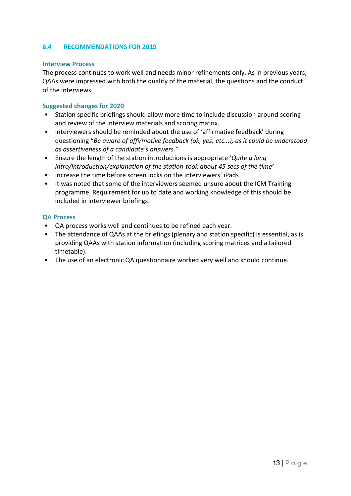#### **6.4 RECOMMENDATIONS FOR 2019**

#### **Interview Process**

The process continues to work well and needs minor refinements only. As in previous years, QAAs were impressed with both the quality of the material, the questions and the conduct of the interviews.

#### **Suggested changes for 2020**

- Station specific briefings should allow more time to include discussion around scoring and review of the interview materials and scoring matrix.
- Interviewers should be reminded about the use of 'affirmative feedback' during questioning "*Be aware of affirmative feedback (ok, yes, etc...), as it could be understood as assertiveness of a candidate's answers."*
- Ensure the length of the station introductions is appropriate '*Quite a long intro/introduction/explanation of the station-took about 45 secs of the time'*
- Increase the time before screen locks on the interviewers' iPads
- It was noted that some of the interviewers seemed unsure about the ICM Training programme. Requirement for up to date and working knowledge of this should be included in interviewer briefings.

#### **QA Process**

- QA process works well and continues to be refined each year.
- The attendance of QAAs at the briefings (plenary and station specific) is essential, as is providing QAAs with station information (including scoring matrices and a tailored timetable).
- The use of an electronic QA questionnaire worked very well and should continue.